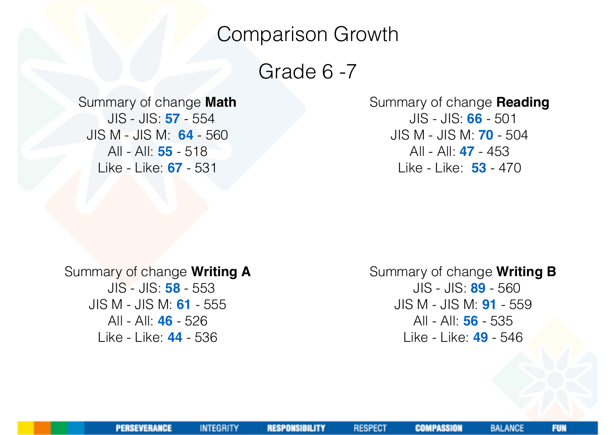## Comparison Growth

Grade 6 -7

Summary of change **Math** JIS - JIS: **57** - 554 JIS M - JIS M: **64** - 560 All - All: **55** - 518 Like - Like: **67** - 531

Summary of change **Reading** JIS - JIS: **66** - 501 JIS M - JIS M: **70** - 504 All - All: **47** - 453 Like - Like: **53** - 470

Summary of change **Writing A** JIS - JIS: **58** - 553 JIS M - JIS M: **61** - 555 All - All: **46** - 526 Like - Like: **44** - 536

Summary of change **Writing B** JIS - JIS: **89** - 560 JIS M - JIS M: **91** - 559 All - All: **56** - 535 Like - Like: **49** - 546

**INTEGRITY** 

**COMPASSION**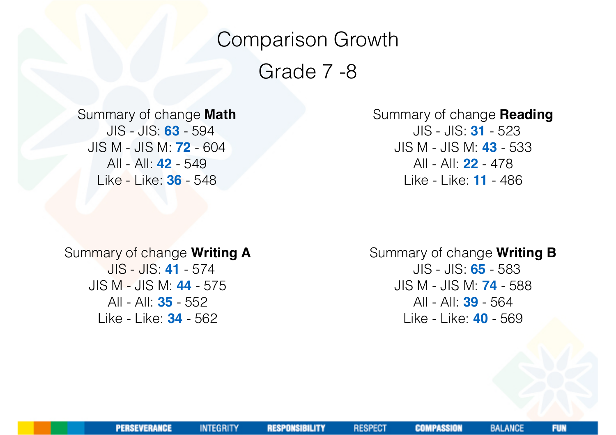# Comparison Growth Grade 7 -8

Summary of change **Math**

 JIS - JIS: **63** - 594 JIS M - JIS M: **72** - 604 All - All: **42** - 549 Like - Like: **36** - 548

Summary of change **Reading** JIS - JIS: **31** - 523 JIS M - JIS M: **43** - 533 All - All: **22** - 478 Like - Like: **11** - 486

Summary of change **Writing A** JIS - JIS: **41** - 574 JIS M - JIS M: **44** - 575 All - All: **35** - 552 Like - Like: **34** - 562

Summary of change **Writing B** JIS - JIS: **65** - 583 JIS M - JIS M: **74** - 588 All - All: **39** - 564 Like - Like: **40** - 569

**RESPONSIBILITY** 

**INTEGRITY** 

**RESPECT** 

**COMPASSION** 

**FUN**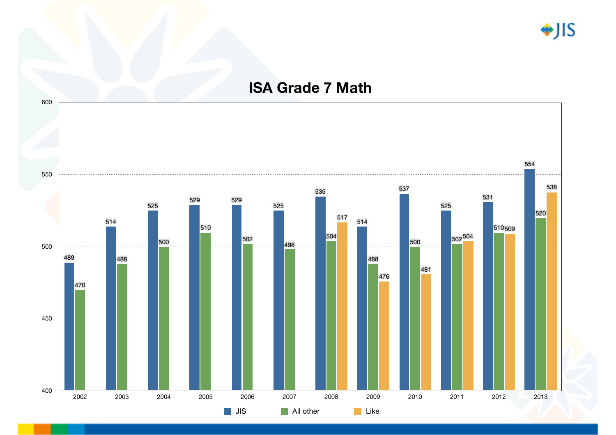◆JIS

#### **ISA Grade 7 Math**

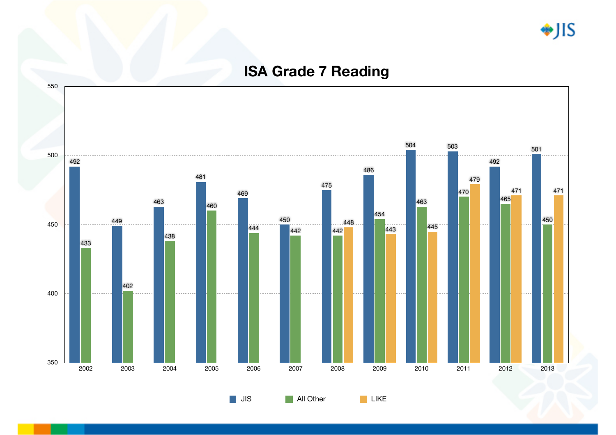\*JIS

#### **ISA Grade 7 Reading**



**JIS** All Other LIKE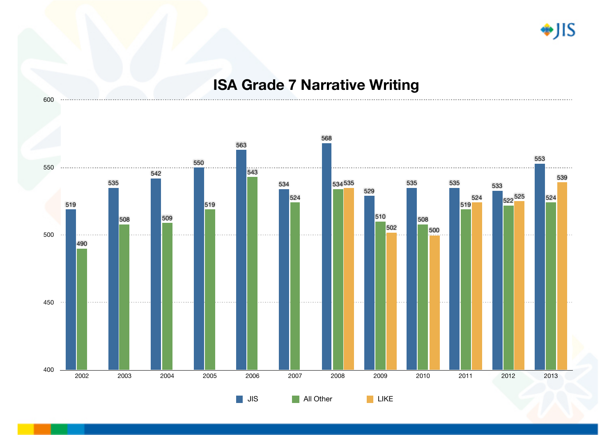♦JIS

#### **ISA Grade 7 Narrative Writing**